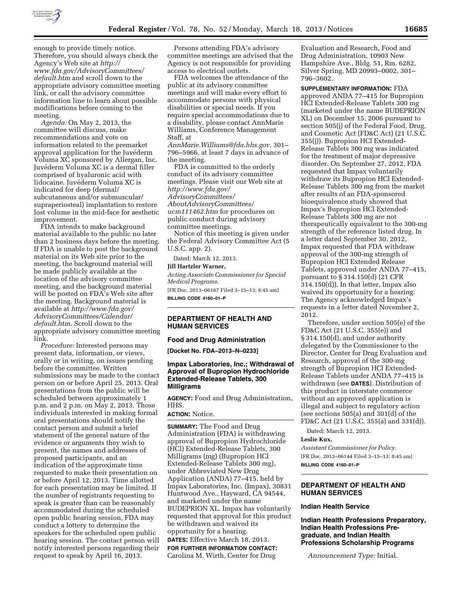

enough to provide timely notice. Therefore, you should always check the Agency's Web site at *[http://](http://www.fda.gov/AdvisoryCommittees/default.htm) [www.fda.gov/AdvisoryCommittees/](http://www.fda.gov/AdvisoryCommittees/default.htm) [default.htm](http://www.fda.gov/AdvisoryCommittees/default.htm)* and scroll down to the appropriate advisory committee meeting link, or call the advisory committee information line to learn about possible modifications before coming to the meeting.

*Agenda:* On May 2, 2013, the committee will discuss, make recommendations and vote on information related to the premarket approval application for the Juvéderm Voluma XC sponsored by Allergan, Inc. Juvéderm Voluma XC is a dermal filler comprised of hyaluronic acid with lidocaine. Juvéderm Voluma XC is indicated for deep (dermal/ subcutaneous and/or submuscular/ supraperiosteal) implantation to restore lost volume in the mid-face for aesthetic improvement.

FDA intends to make background material available to the public no later than 2 business days before the meeting. If FDA is unable to post the background material on its Web site prior to the meeting, the background material will be made publicly available at the location of the advisory committee meeting, and the background material will be posted on FDA's Web site after the meeting. Background material is available at *[http://www.fda.gov/](http://www.fda.gov/AdvisoryCommittees/Calendar/default.htm)  [AdvisoryCommittees/Calendar/](http://www.fda.gov/AdvisoryCommittees/Calendar/default.htm)  [default.htm](http://www.fda.gov/AdvisoryCommittees/Calendar/default.htm)*. Scroll down to the appropriate advisory committee meeting link.

*Procedure:* Interested persons may present data, information, or views, orally or in writing, on issues pending before the committee. Written submissions may be made to the contact person on or before April 25, 2013. Oral presentations from the public will be scheduled between approximately 1 p.m. and 2 p.m. on May 2, 2013. Those individuals interested in making formal oral presentations should notify the contact person and submit a brief statement of the general nature of the evidence or arguments they wish to present, the names and addresses of proposed participants, and an indication of the approximate time requested to make their presentation on or before April 12, 2013. Time allotted for each presentation may be limited. If the number of registrants requesting to speak is greater than can be reasonably accommodated during the scheduled open public hearing session, FDA may conduct a lottery to determine the speakers for the scheduled open public hearing session. The contact person will notify interested persons regarding their request to speak by April 16, 2013.

Persons attending FDA's advisory committee meetings are advised that the Agency is not responsible for providing access to electrical outlets.

FDA welcomes the attendance of the public at its advisory committee meetings and will make every effort to accommodate persons with physical disabilities or special needs. If you require special accommodations due to a disability, please contact AnnMarie Williams, Conference Management Staff, at

*[AnnMarie.Williams@fda.hhs.gov,](mailto:AnnMarie.Williams@fda.hhs.gov)* 301– 796–5966, at least 7 days in advance of the meeting.

FDA is committed to the orderly conduct of its advisory committee meetings. Please visit our Web site at *[http://www.fda.gov/](http://www.fda.gov/AdvisoryCommittees/AboutAdvisoryCommittees/ucm111462.htm) [AdvisoryCommittees/](http://www.fda.gov/AdvisoryCommittees/AboutAdvisoryCommittees/ucm111462.htm) [AboutAdvisoryCommittees/](http://www.fda.gov/AdvisoryCommittees/AboutAdvisoryCommittees/ucm111462.htm)  [ucm111462.htm](http://www.fda.gov/AdvisoryCommittees/AboutAdvisoryCommittees/ucm111462.htm)* for procedures on public conduct during advisory committee meetings.

Notice of this meeting is given under the Federal Advisory Committee Act (5 U.S.C. app. 2).

Dated: March 12, 2013.

#### **Jill Hartzler Warner,**

*Acting Associate Commissioner for Special Medical Programs.* 

[FR Doc. 2013–06167 Filed 3–15–13; 8:45 am] **BILLING CODE 4160–01–P** 

# **DEPARTMENT OF HEALTH AND HUMAN SERVICES**

### **Food and Drug Administration**

**[Docket No. FDA–2013–N–0233]** 

# **Impax Laboratories, Inc.; Withdrawal of Approval of Bupropion Hydrochloride Extended-Release Tablets, 300 Milligrams**

**AGENCY:** Food and Drug Administration, HHS.

# **ACTION:** Notice.

**SUMMARY:** The Food and Drug Administration (FDA) is withdrawing approval of Bupropion Hydrochloride (HCl) Extended-Release Tablets, 300 Milligrams (mg) (Bupropion HCl Extended-Release Tablets 300 mg), under Abbreviated New Drug Application (ANDA) 77–415, held by Impax Laboratories, Inc. (Impax), 30831 Huntwood Ave., Hayward, CA 94544, and marketed under the name BUDEPRION XL. Impax has voluntarily requested that approval for this product be withdrawn and waived its opportunity for a hearing.

**DATES:** Effective March 18, 2013.

**FOR FURTHER INFORMATION CONTACT:**  Carolina M. Wirth, Center for Drug

Evaluation and Research, Food and Drug Administration, 10903 New Hampshire Ave., Bldg. 51, Rm. 6282, Silver Spring, MD 20993–0002, 301– 796–3602.

**SUPPLEMENTARY INFORMATION:** FDA approved ANDA 77–415 for Bupropion HCl Extended-Release Tablets 300 mg (marketed under the name BUDEPRION XL) on December 15, 2006 pursuant to section 505(j) of the Federal Food, Drug, and Cosmetic Act (FD&C Act) (21 U.S.C. 355(j)). Bupropion HCl Extended-Release Tablets 300 mg was indicated for the treatment of major depressive disorder. On September 27, 2012, FDA requested that Impax voluntarily withdraw its Bupropion HCl Extended-Release Tablets 300 mg from the market after results of an FDA-sponsored bioequivalence study showed that Impax's Bupropion HCl Extended-Release Tablets 300 mg are not therapeutically equivalent to the 300-mg strength of the reference listed drug. In a letter dated September 30, 2012, Impax requested that FDA withdraw approval of the 300-mg strength of Bupropion HCl Extended Release Tablets, approved under ANDA 77–415, pursuant to § 314.150(d) (21 CFR 314.150(d)). In that letter, Impax also waived its opportunity for a hearing. The Agency acknowledged Impax's requests in a letter dated November 2, 2012.

Therefore, under section 505(e) of the FD&C Act (21 U.S.C. 355(e)) and § 314.150(d), and under authority delegated by the Commissioner to the Director, Center for Drug Evaluation and Research, approval of the 300-mg strength of Bupropion HCl Extended-Release Tablets under ANDA 77–415 is withdrawn (see **DATES**). Distribution of this product in interstate commerce without an approved application is illegal and subject to regulatory action (see sections 505(a) and 301(d) of the FD&C Act (21 U.S.C. 355(a) and 331(d)).

Dated: March 12, 2013.

# **Leslie Kux,**

*Assistant Commissioner for Policy.*  [FR Doc. 2013–06144 Filed 3–15–13; 8:45 am] **BILLING CODE 4160–01–P** 

# **DEPARTMENT OF HEALTH AND HUMAN SERVICES**

# **Indian Health Service**

**Indian Health Professions Preparatory, Indian Health Professions Pregraduate, and Indian Health Professions Scholarship Programs** 

*Announcement Type:* Initial.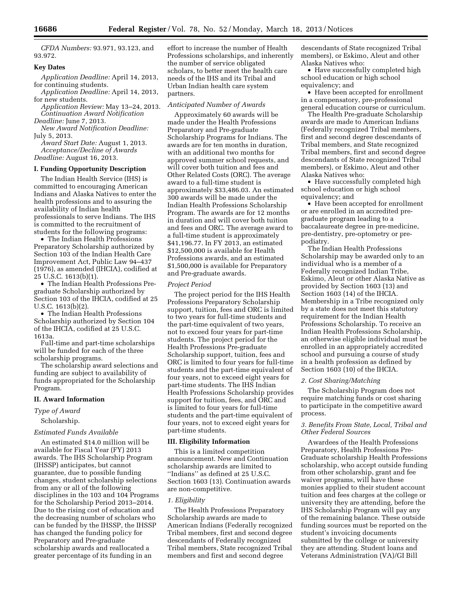*CFDA Numbers:* 93.971, 93.123, and 93.972.

### **Key Dates**

*Application Deadline:* April 14, 2013, for continuing students.

*Application Deadline:* April 14, 2013, for new students.

*Application Review:* May 13–24, 2013. *Continuation Award Notification* 

*Deadline:* June 7, 2013.

*New Award Notification Deadline:*  July 5, 2013.

*Award Start Date:* August 1, 2013. *Acceptance/Decline of Awards* 

*Deadline:* August 16, 2013.

# **I. Funding Opportunity Description**

The Indian Health Service (IHS) is committed to encouraging American Indians and Alaska Natives to enter the health professions and to assuring the availability of Indian health professionals to serve Indians. The IHS is committed to the recruitment of students for the following programs:

• The Indian Health Professions Preparatory Scholarship authorized by Section 103 of the Indian Health Care Improvement Act, Public Law 94–437 (1976), as amended (IHCIA), codified at 25 U.S.C. 1613(b)(1).

• The Indian Health Professions Pregraduate Scholarship authorized by Section 103 of the IHCIA, codified at 25 U.S.C. 1613(b)(2).

• The Indian Health Professions Scholarship authorized by Section 104 of the IHCIA, codified at 25 U.S.C. 1613a.

Full-time and part-time scholarships will be funded for each of the three scholarship programs.

The scholarship award selections and funding are subject to availability of funds appropriated for the Scholarship Program.

### **II. Award Information**

*Type of Award* 

Scholarship.

# *Estimated Funds Available*

An estimated \$14.0 million will be available for Fiscal Year (FY) 2013 awards. The IHS Scholarship Program (IHSSP) anticipates, but cannot guarantee, due to possible funding changes, student scholarship selections from any or all of the following disciplines in the 103 and 104 Programs for the Scholarship Period 2013–2014. Due to the rising cost of education and the decreasing number of scholars who can be funded by the IHSSP, the IHSSP has changed the funding policy for Preparatory and Pre-graduate scholarship awards and reallocated a greater percentage of its funding in an

effort to increase the number of Health Professions scholarships, and inherently the number of service obligated scholars, to better meet the health care needs of the IHS and its Tribal and Urban Indian health care system partners.

### *Anticipated Number of Awards*

Approximately 60 awards will be made under the Health Professions Preparatory and Pre-graduate Scholarship Programs for Indians. The awards are for ten months in duration, with an additional two months for approved summer school requests, and will cover both tuition and fees and Other Related Costs (ORC). The average award to a full-time student is approximately \$33,486.03. An estimated 300 awards will be made under the Indian Health Professions Scholarship Program. The awards are for 12 months in duration and will cover both tuition and fees and ORC. The average award to a full-time student is approximately \$41,196.77. In FY 2013, an estimated \$12,500,000 is available for Health Professions awards, and an estimated \$1,500,000 is available for Preparatory and Pre-graduate awards.

#### *Project Period*

The project period for the IHS Health Professions Preparatory Scholarship support, tuition, fees and ORC is limited to two years for full-time students and the part-time equivalent of two years, not to exceed four years for part-time students. The project period for the Health Professions Pre-graduate Scholarship support, tuition, fees and ORC is limited to four years for full-time students and the part-time equivalent of four years, not to exceed eight years for part-time students. The IHS Indian Health Professions Scholarship provides support for tuition, fees, and ORC and is limited to four years for full-time students and the part-time equivalent of four years, not to exceed eight years for part-time students.

### **III. Eligibility Information**

This is a limited competition announcement. New and Continuation scholarship awards are limited to ''Indians'' as defined at 25 U.S.C. Section 1603 (13). Continuation awards are non-competitive.

### *1. Eligibility*

The Health Professions Preparatory Scholarship awards are made to American Indians (Federally recognized Tribal members, first and second degree descendants of Federally recognized Tribal members, State recognized Tribal members and first and second degree

descendants of State recognized Tribal members), or Eskimo, Aleut and other Alaska Natives who:

• Have successfully completed high school education or high school equivalency; and

• Have been accepted for enrollment in a compensatory, pre-professional general education course or curriculum.

The Health Pre-graduate Scholarship awards are made to American Indians (Federally recognized Tribal members, first and second degree descendants of Tribal members, and State recognized Tribal members, first and second degree descendants of State recognized Tribal members), or Eskimo, Aleut and other Alaska Natives who:

• Have successfully completed high school education or high school equivalency; and

• Have been accepted for enrollment or are enrolled in an accredited pregraduate program leading to a baccalaureate degree in pre-medicine, pre-dentistry, pre-optometry or prepodiatry.

The Indian Health Professions Scholarship may be awarded only to an individual who is a member of a Federally recognized Indian Tribe, Eskimo, Aleut or other Alaska Native as provided by Section 1603 (13) and Section 1603 (14) of the IHCIA. Membership in a Tribe recognized only by a state does not meet this statutory requirement for the Indian Health Professions Scholarship. To receive an Indian Health Professions Scholarship, an otherwise eligible individual must be enrolled in an appropriately accredited school and pursuing a course of study in a health profession as defined by Section 1603 (10) of the IHCIA.

### *2. Cost Sharing/Matching*

The Scholarship Program does not require matching funds or cost sharing to participate in the competitive award process.

# *3. Benefits From State, Local, Tribal and Other Federal Sources*

Awardees of the Health Professions Preparatory, Health Professions Pre-Graduate scholarship Health Professions scholarship, who accept outside funding from other scholarship, grant and fee waiver programs, will have these monies applied to their student account tuition and fees charges at the college or university they are attending, before the IHS Scholarship Program will pay any of the remaining balance. These outside funding sources must be reported on the student's invoicing documents submitted by the college or university they are attending. Student loans and Veterans Administration (VA)/GI Bill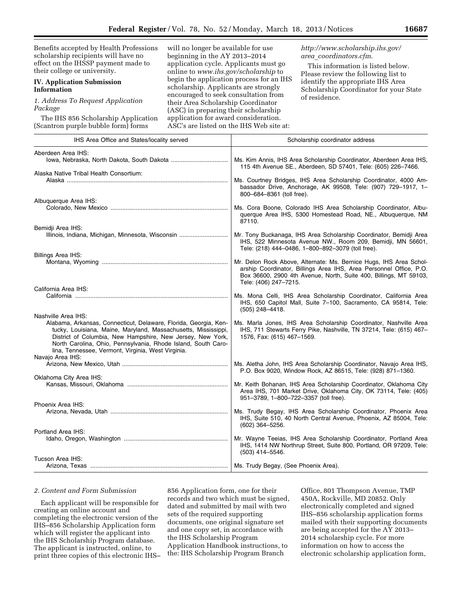Benefits accepted by Health Professions scholarship recipients will have no effect on the IHSSP payment made to their college or university. **IV. Application Submission Information**  *1. Address To Request Application Package*  The IHS 856 Scholarship Application (Scantron purple bubble form) forms will no longer be available for use beginning in the AY 2013–2014 application cycle. Applicants must go online to *[www.ihs.gov/scholarship](http://www.ihs.gov/scholarship)* to begin the application process for an IHS scholarship. Applicants are strongly encouraged to seek consultation from their Area Scholarship Coordinator (ASC) in preparing their scholarship application for award consideration. ASC's are listed on the IHS Web site at: *[http://www.scholarship.ihs.gov/](http://www.scholarship.ihs.gov/area_coordinators.cfm)  area*\_*[coordinators.cfm](http://www.scholarship.ihs.gov/area_coordinators.cfm)*. This information is listed below. Please review the following list to identify the appropriate IHS Area Scholarship Coordinator for your State of residence.

| IHS Area Office and States/locality served                                                                                                                                                                                                                                                                                                     | Scholarship coordinator address                                                                                                                                                                                                        |
|------------------------------------------------------------------------------------------------------------------------------------------------------------------------------------------------------------------------------------------------------------------------------------------------------------------------------------------------|----------------------------------------------------------------------------------------------------------------------------------------------------------------------------------------------------------------------------------------|
| Aberdeen Area IHS:                                                                                                                                                                                                                                                                                                                             | Ms. Kim Annis, IHS Area Scholarship Coordinator, Aberdeen Area IHS,                                                                                                                                                                    |
|                                                                                                                                                                                                                                                                                                                                                | 115 4th Avenue SE., Aberdeen, SD 57401, Tele: (605) 226-7466.                                                                                                                                                                          |
| Alaska Native Tribal Health Consortium:<br>Alaska …………………………………………………………………………………                                                                                                                                                                                                                                                              | Ms. Courtney Bridges, IHS Area Scholarship Coordinator, 4000 Am-<br>bassador Drive, Anchorage, AK 99508, Tele: (907) 729-1917, 1-<br>800-684-8361 (toll free).                                                                         |
| Albuquerque Area IHS:                                                                                                                                                                                                                                                                                                                          | Ms. Cora Boone, Colorado IHS Area Scholarship Coordinator, Albu-<br>querque Area IHS, 5300 Homestead Road, NE., Albuquerque, NM<br>87110.                                                                                              |
| Bemidji Area IHS:<br>Illinois, Indiana, Michigan, Minnesota, Wisconsin                                                                                                                                                                                                                                                                         | Mr. Tony Buckanaga, IHS Area Scholarship Coordinator, Bemidji Area<br>IHS, 522 Minnesota Avenue NW., Room 209, Bemidji, MN 56601,<br>Tele: (218) 444-0486, 1-800-892-3079 (toll free).                                                 |
| Billings Area IHS:                                                                                                                                                                                                                                                                                                                             | Mr. Delon Rock Above, Alternate: Ms. Bernice Hugs, IHS Area Schol-<br>arship Coordinator, Billings Area IHS, Area Personnel Office, P.O.<br>Box 36600, 2900 4th Avenue, North, Suite 400, Billings, MT 59103,<br>Tele: (406) 247-7215. |
| California Area IHS:                                                                                                                                                                                                                                                                                                                           | Ms. Mona Celli, IHS Area Scholarship Coordinator, California Area<br>IHS, 650 Capitol Mall, Suite 7-100, Sacramento, CA 95814, Tele:<br>$(505)$ 248-4418.                                                                              |
| Nashville Area IHS:<br>Alabama, Arkansas, Connecticut, Delaware, Florida, Georgia, Ken-<br>tucky, Louisiana, Maine, Maryland, Massachusetts, Mississippi,<br>District of Columbia, New Hampshire, New Jersey, New York,<br>North Carolina, Ohio, Pennsylvania, Rhode Island, South Caro-<br>lina, Tennessee, Vermont, Virginia, West Virginia. | Ms. Marla Jones, IHS Area Scholarship Coordinator, Nashville Area<br>IHS, 711 Stewarts Ferry Pike, Nashville, TN 37214, Tele: (615) 467-<br>1576, Fax: (615) 467-1569.                                                                 |
| Navajo Area IHS:                                                                                                                                                                                                                                                                                                                               | Ms. Aletha John, IHS Area Scholarship Coordinator, Navajo Area IHS,<br>P.O. Box 9020, Window Rock, AZ 86515, Tele: (928) 871-1360.                                                                                                     |
| Oklahoma City Area IHS:                                                                                                                                                                                                                                                                                                                        | Mr. Keith Bohanan, IHS Area Scholarship Coordinator, Oklahoma City<br>Area IHS, 701 Market Drive, Oklahoma City, OK 73114, Tele: (405)<br>951-3789, 1-800-722-3357 (toll free).                                                        |
| Phoenix Area IHS:                                                                                                                                                                                                                                                                                                                              | Ms. Trudy Begay, IHS Area Scholarship Coordinator, Phoenix Area<br>IHS, Suite 510, 40 North Central Avenue, Phoenix, AZ 85004, Tele:<br>(602) 364-5256.                                                                                |
| Portland Area IHS:                                                                                                                                                                                                                                                                                                                             | Mr. Wayne Teeias, IHS Area Scholarship Coordinator, Portland Area<br>IHS, 1414 NW Northrup Street, Suite 800, Portland, OR 97209, Tele:<br>$(503)$ 414-5546.                                                                           |
| Tucson Area IHS:                                                                                                                                                                                                                                                                                                                               |                                                                                                                                                                                                                                        |

# *2. Content and Form Submission*

Each applicant will be responsible for creating an online account and completing the electronic version of the IHS–856 Scholarship Application form which will register the applicant into the IHS Scholarship Program database. The applicant is instructed, online, to print three copies of this electronic IHS–

856 Application form, one for their records and two which must be signed, dated and submitted by mail with two sets of the required supporting documents, one original signature set and one copy set, in accordance with the IHS Scholarship Program Application Handbook instructions, to the: IHS Scholarship Program Branch

Office, 801 Thompson Avenue, TMP 450A, Rockville, MD 20852. Only electronically completed and signed IHS–856 scholarship application forms mailed with their supporting documents are being accepted for the AY 2013– 2014 scholarship cycle. For more information on how to access the electronic scholarship application form,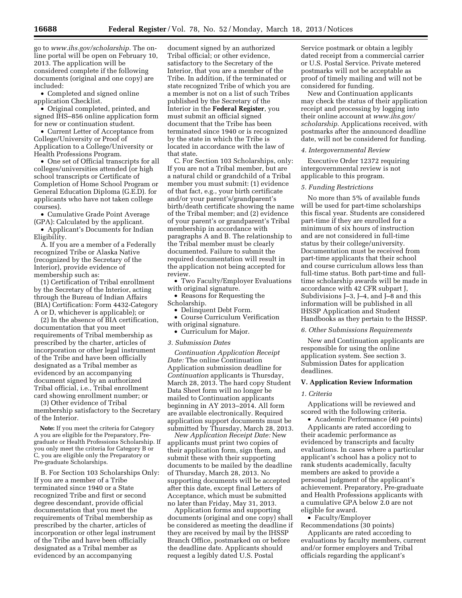go to *[www.ihs.gov/scholarship.](http://www.ihs.gov/scholarship)* The online portal will be open on February 10, 2013. The application will be considered complete if the following documents (original and one copy) are included:

• Completed and signed online application Checklist.

• Original completed, printed, and signed IHS–856 online application form for new or continuation student.

• Current Letter of Acceptance from College/University or Proof of Application to a College/University or Health Professions Program.

• One set of Official transcripts for all colleges/universities attended (or high school transcripts or Certificate of Completion of Home School Program or General Education Diploma (G.E.D). for applicants who have not taken college courses).

• Cumulative Grade Point Average (GPA): Calculated by the applicant.

• Applicant's Documents for Indian Eligibility.

A. If you are a member of a Federally recognized Tribe or Alaska Native (recognized by the Secretary of the Interior), provide evidence of membership such as:

(1) Certification of Tribal enrollment by the Secretary of the Interior, acting through the Bureau of Indian Affairs (BIA) Certification: Form 4432-Category A or D, whichever is applicable); or

(2) In the absence of BIA certification, documentation that you meet requirements of Tribal membership as prescribed by the charter, articles of incorporation or other legal instrument of the Tribe and have been officially designated as a Tribal member as evidenced by an accompanying document signed by an authorized Tribal official, i.e., Tribal enrollment card showing enrollment number; or

(3) Other evidence of Tribal membership satisfactory to the Secretary of the Interior.

**Note:** If you meet the criteria for Category A you are eligible for the Preparatory, Pregraduate or Health Professions Scholarship. If you only meet the criteria for Category B or C, you are eligible only the Preparatory or Pre-graduate Scholarships.

B. For Section 103 Scholarships Only: If you are a member of a Tribe terminated since 1940 or a State recognized Tribe and first or second degree descendant, provide official documentation that you meet the requirements of Tribal membership as prescribed by the charter, articles of incorporation or other legal instrument of the Tribe and have been officially designated as a Tribal member as evidenced by an accompanying

document signed by an authorized Tribal official; or other evidence, satisfactory to the Secretary of the Interior, that you are a member of the Tribe. In addition, if the terminated or state recognized Tribe of which you are a member is not on a list of such Tribes published by the Secretary of the Interior in the **Federal Register**, you must submit an official signed document that the Tribe has been terminated since 1940 or is recognized by the state in which the Tribe is located in accordance with the law of that state.

C. For Section 103 Scholarships, only: If you are not a Tribal member, but are a natural child or grandchild of a Tribal member you must submit: (1) evidence of that fact, e.g., your birth certificate and/or your parent's/grandparent's birth/death certificate showing the name of the Tribal member; and (2) evidence of your parent's or grandparent's Tribal membership in accordance with paragraphs A and B. The relationship to the Tribal member must be clearly documented. Failure to submit the required documentation will result in the application not being accepted for review.

• Two Faculty/Employer Evaluations with original signature.

• Reasons for Requesting the Scholarship.

• Delinquent Debt Form.

• Course Curriculum Verification with original signature.

• Curriculum for Major.

### *3. Submission Dates*

*Continuation Application Receipt Date:* The online Continuation Application submission deadline for *Continuation* applicants is Thursday, March 28, 2013. The hard copy Student Data Sheet form will no longer be mailed to Continuation applicants beginning in AY 2013–2014. All form are available electronically. Required application support documents must be submitted by Thursday, March 28, 2013.

*New Application Receipt Date:* New applicants must print two copies of their application form, sign them, and submit these with their supporting documents to be mailed by the deadline of Thursday, March 28, 2013. No supporting documents will be accepted after this date, except final Letters of Acceptance, which must be submitted no later than Friday, May 31, 2013.

Application forms and supporting documents (original and one copy) shall be considered as meeting the deadline if they are received by mail by the IHSSP Branch Office, postmarked on or before the deadline date. Applicants should request a legibly dated U.S. Postal

Service postmark or obtain a legibly dated receipt from a commercial carrier or U.S. Postal Service. Private metered postmarks will not be acceptable as proof of timely mailing and will not be considered for funding.

New and Continuation applicants may check the status of their application receipt and processing by logging into their online account at *[www.ihs.gov/](http://www.ihs.gov/scholarship) [scholarship.](http://www.ihs.gov/scholarship)* Applications received, with postmarks after the announced deadline date, will not be considered for funding.

#### *4. Intergovernmental Review*

Executive Order 12372 requiring intergovernmental review is not applicable to this program.

### *5. Funding Restrictions*

No more than 5% of available funds will be used for part-time scholarships this fiscal year. Students are considered part-time if they are enrolled for a minimum of six hours of instruction and are not considered in full-time status by their college/university. Documentation must be received from part-time applicants that their school and course curriculum allows less than full-time status. Both part-time and fulltime scholarship awards will be made in accordance with 42 CFR subpart J, Subdivisions J–3, J–4, and J–8 and this information will be published in all IHSSP Application and Student Handbooks as they pertain to the IHSSP.

#### *6. Other Submissions Requirements*

New and Continuation applicants are responsible for using the online application system. See section 3. Submission Dates for application deadlines.

# **V. Application Review Information**

#### *1. Criteria*

Applications will be reviewed and scored with the following criteria.

• Academic Performance (40 points) Applicants are rated according to their academic performance as evidenced by transcripts and faculty evaluations. In cases where a particular applicant's school has a policy not to rank students academically, faculty members are asked to provide a personal judgment of the applicant's achievement. Preparatory, Pre-graduate and Health Professions applicants with a cumulative GPA below 2.0 are not eligible for award.

• Faculty/Employer Recommendations (30 points)

Applicants are rated according to evaluations by faculty members, current and/or former employers and Tribal officials regarding the applicant's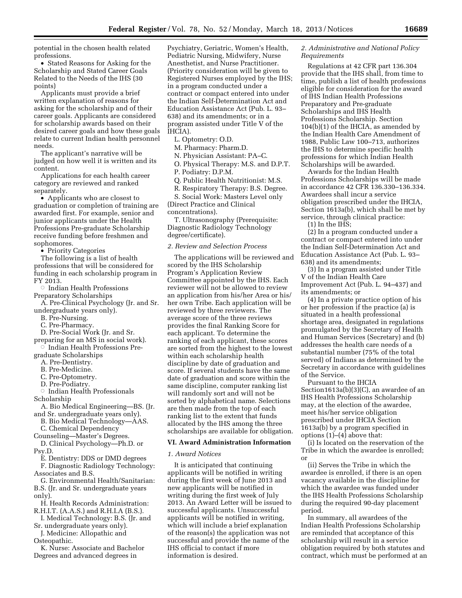potential in the chosen health related professions.

• Stated Reasons for Asking for the Scholarship and Stated Career Goals Related to the Needs of the IHS (30 points)

Applicants must provide a brief written explanation of reasons for asking for the scholarship and of their career goals. Applicants are considered for scholarship awards based on their desired career goals and how these goals relate to current Indian health personnel needs.

The applicant's narrative will be judged on how well it is written and its content.

Applications for each health career category are reviewed and ranked separately.

• Applicants who are closest to graduation or completion of training are awarded first. For example, senior and junior applicants under the Health Professions Pre-graduate Scholarship receive funding before freshmen and sophomores.

• Priority Categories

The following is a list of health professions that will be considered for funding in each scholarship program in FY 2013.

 $\circ$ Indian Health Professions Preparatory Scholarships

A. Pre-Clinical Psychology (Jr. and Sr. undergraduate years only).

B. Pre-Nursing.

C. Pre-Pharmacy.

D. Pre-Social Work (Jr. and Sr.

preparing for an MS in social work). ÆIndian Health Professions Pre-

graduate Scholarships

A. Pre-Dentistry.

B. Pre-Medicine.

- C. Pre-Optometry.
- D. Pre-Podiatry.

 $\circ$  Indian Health Professionals

Scholarship

A. Bio Medical Engineering—BS. (Jr. and Sr. undergraduate years only).

B. Bio Medical Technology—AAS. C. Chemical Dependency

Counseling—Master's Degrees.

D. Clinical Psychology—Ph.D. or Psy.D.

E. Dentistry: DDS or DMD degrees

F. Diagnostic Radiology Technology: Associates and B.S.

G. Environmental Health/Sanitarian: B.S. (Jr. and Sr. undergraduate years

only).

H. Health Records Administration: R.H.I.T. (A.A.S.) and R.H.I.A (B.S.).

I. Medical Technology: B.S. (Jr. and Sr. undergraduate years only).

J. Medicine: Allopathic and Osteopathic.

K. Nurse: Associate and Bachelor Degrees and advanced degrees in

Psychiatry, Geriatric, Women's Health, Pediatric Nursing, Midwifery, Nurse Anesthetist, and Nurse Practitioner. (Priority consideration will be given to Registered Nurses employed by the IHS; in a program conducted under a contract or compact entered into under the Indian Self-Determination Act and Education Assistance Act (Pub. L. 93– 638) and its amendments; or in a program assisted under Title V of the IHCIA).

L. Optometry: O.D.

M. Pharmacy: Pharm.D.

N. Physician Assistant: PA–C.

O. Physical Therapy: M.S. and D.P.T.

P. Podiatry: D.P.M.

Q. Public Health Nutritionist: M.S.

R. Respiratory Therapy: B.S. Degree.

S. Social Work: Masters Level only

(Direct Practice and Clinical concentrations).

T. Ultrasonography (Prerequisite: Diagnostic Radiology Technology degree/certificate).

### *2. Review and Selection Process*

The applications will be reviewed and scored by the IHS Scholarship Program's Application Review Committee appointed by the IHS. Each reviewer will not be allowed to review an application from his/her Area or his/ her own Tribe. Each application will be reviewed by three reviewers. The average score of the three reviews provides the final Ranking Score for each applicant. To determine the ranking of each applicant, these scores are sorted from the highest to the lowest within each scholarship health discipline by date of graduation and score. If several students have the same date of graduation and score within the same discipline, computer ranking list will randomly sort and will not be sorted by alphabetical name. Selections are then made from the top of each ranking list to the extent that funds allocated by the IHS among the three scholarships are available for obligation.

### **VI. Award Administration Information**

### *1. Award Notices*

It is anticipated that continuing applicants will be notified in writing during the first week of June 2013 and new applicants will be notified in writing during the first week of July 2013. An Award Letter will be issued to successful applicants. Unsuccessful applicants will be notified in writing, which will include a brief explanation of the reason(s) the application was not successful and provide the name of the IHS official to contact if more information is desired.

# *2. Administrative and National Policy Requirements*

Regulations at 42 CFR part 136.304 provide that the IHS shall, from time to time, publish a list of health professions eligible for consideration for the award of IHS Indian Health Professions Preparatory and Pre-graduate Scholarships and IHS Health Professions Scholarship. Section 104(b)(1) of the IHCIA, as amended by the Indian Health Care Amendment of 1988, Public Law 100–713, authorizes the IHS to determine specific health professions for which Indian Health Scholarships will be awarded.

Awards for the Indian Health Professions Scholarships will be made in accordance 42 CFR 136.330–136.334. Awardees shall incur a service obligation prescribed under the IHCIA, Section 1613a(b), which shall be met by service, through clinical practice:

(1) In the IHS;

(2) In a program conducted under a contract or compact entered into under the Indian Self-Determination Act and Education Assistance Act (Pub. L. 93– 638) and its amendments;

(3) In a program assisted under Title V of the Indian Health Care Improvement Act (Pub. L. 94–437) and its amendments; or

(4) In a private practice option of his or her profession if the practice (a) is situated in a health professional shortage area, designated in regulations promulgated by the Secretary of Health and Human Services (Secretary) and (b) addresses the health care needs of a substantial number (75% of the total served) of Indians as determined by the Secretary in accordance with guidelines of the Service.

Pursuant to the IHCIA Section1613a(b)(3)(C), an awardee of an IHS Health Professions Scholarship may, at the election of the awardee, meet his/her service obligation prescribed under IHCIA Section 1613a(b) by a program specified in options (1)–(4) above that:

(i) Is located on the reservation of the Tribe in which the awardee is enrolled; or

(ii) Serves the Tribe in which the awardee is enrolled, if there is an open vacancy available in the discipline for which the awardee was funded under the IHS Health Professions Scholarship during the required 90-day placement period.

In summary, all awardees of the Indian Health Professions Scholarship are reminded that acceptance of this scholarship will result in a service obligation required by both statutes and contract, which must be performed at an